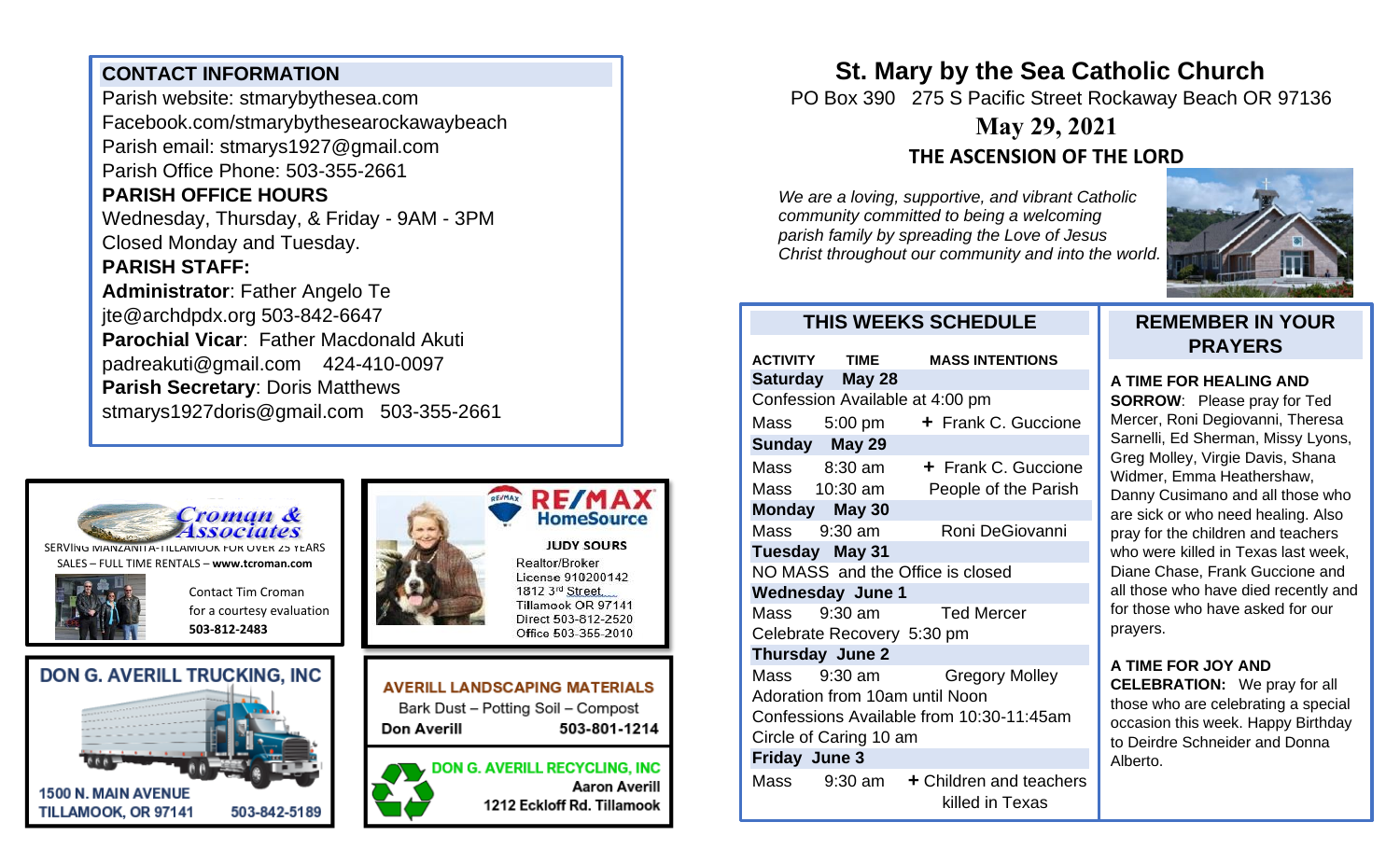## **CONTACT INFORMATION**

Parish website: stmarybythesea.com Facebook.com/stmarybythesearockawaybeach Parish email: stmarys1927@gmail.com Parish Office Phone: 503-355-2661 **PARISH OFFICE HOURS**  Wednesday, Thursday, & Friday - 9AM - 3PM Closed Monday and Tuesday. **PARISH STAFF: Administrator**: Father Angelo Te

jte@archdpdx.org 503-842-6647 **Parochial Vicar**: Father Macdonald Akuti padreakuti@gmail.com 424-410-0097 **Parish Secretary**: Doris Matthews stmarys1927doris@gmail.com 503-355-2661



SERVING MANZANITA-TILLAMOOK FOR OVER 25 YEARS SALES – FULL TIME RENTALS – **[www.tcroman.com](http://www.tcroman.com/)**

> Contact Tim Croman for a courtesy evaluation

**503-812-2483**









Realtor/Broker License 910200142 1812 3rd Street. Tillamook OR 97141

Direct 503-812-2520 Office 503-355-2010

**AVERILL LANDSCAPING MATERIALS** Bark Dust - Potting Soil - Compost Don Averill 503-801-1214

> **DON G. AVERILL RECYCLING, INC Aaron Averill** 1212 Eckloff Rd. Tillamook

**St. Mary by the Sea Catholic Church**

PO Box 390 275 S Pacific Street Rockaway Beach OR 97136

# **May 29, 2021 THE ASCENSION OF THE LORD**

*We are a loving, supportive, and vibrant Catholic community committed to being a welcoming parish family by spreading the Love of Jesus Christ throughout our community and into the world.*



## **THIS WEEKS SCHEDULE**

| <b>ACTIVITY TIME</b>                     |                 | <b>MASS INTENTIONS</b>                                      |
|------------------------------------------|-----------------|-------------------------------------------------------------|
|                                          | Saturday May 28 |                                                             |
| Confession Available at 4:00 pm          |                 |                                                             |
|                                          | Mass 5:00 pm    | + Frank C. Guccione                                         |
|                                          | Sunday May 29   |                                                             |
|                                          | Mass 8:30 am    | + Frank C. Guccione                                         |
|                                          | Mass 10:30 am   | People of the Parish                                        |
| Monday May 30                            |                 |                                                             |
| Mass 9:30 am                             |                 | Roni DeGiovanni                                             |
| Tuesday May 31                           |                 |                                                             |
| NO MASS and the Office is closed         |                 |                                                             |
| <b>Wednesday June 1</b>                  |                 |                                                             |
|                                          |                 | Mass 9:30 am Ted Mercer                                     |
| Celebrate Recovery 5:30 pm               |                 |                                                             |
| <b>Thursday June 2</b>                   |                 |                                                             |
|                                          | Mass 9:30 am    | <b>Gregory Molley</b>                                       |
| Adoration from 10am until Noon           |                 |                                                             |
| Confessions Available from 10:30-11:45am |                 |                                                             |
| Circle of Caring 10 am                   |                 |                                                             |
| <b>Friday June 3</b>                     |                 |                                                             |
|                                          |                 | Mass $9:30$ am $+$ Children and teachers<br>killed in Texas |

## **REMEMBER IN YOUR PRAYERS**

#### **A TIME FOR HEALING AND**

**SORROW**: Please pray for Ted Mercer, Roni Degiovanni, Theresa Sarnelli, Ed Sherman, Missy Lyons, Greg Molley, Virgie Davis, Shana Widmer, Emma Heathershaw, Danny Cusimano and all those who are sick or who need healing. Also pray for the children and teachers who were killed in Texas last week, Diane Chase, Frank Guccione and all those who have died recently and for those who have asked for our prayers.

### **A TIME FOR JOY AND**

**CELEBRATION:** We pray for all those who are celebrating a special occasion this week. Happy Birthday to Deirdre Schneider and Donna Alberto.